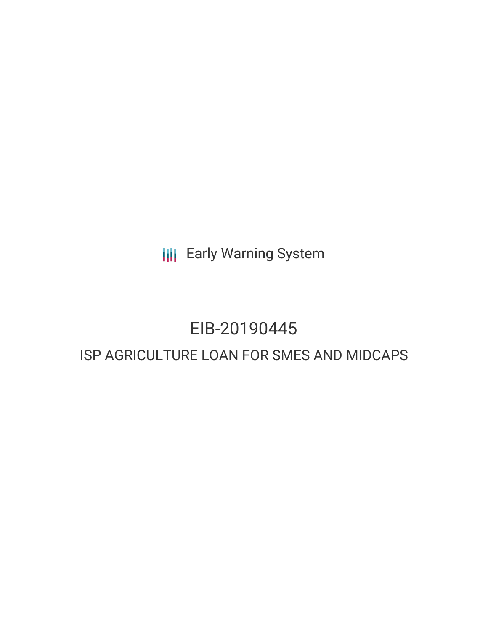**III** Early Warning System

# EIB-20190445

# ISP AGRICULTURE LOAN FOR SMES AND MIDCAPS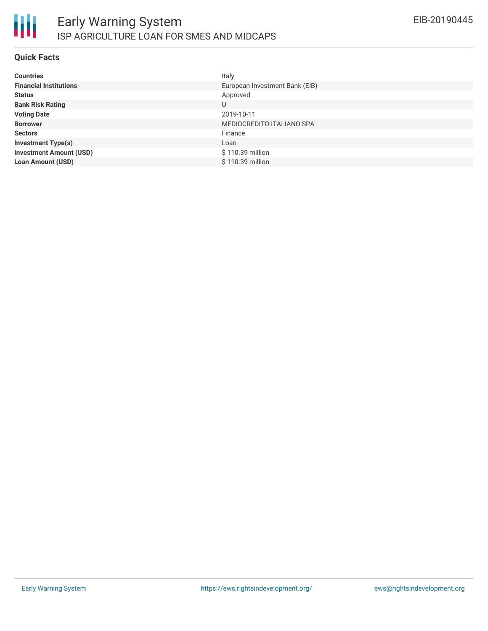

#### **Quick Facts**

| <b>Countries</b>               | Italy                          |
|--------------------------------|--------------------------------|
| <b>Financial Institutions</b>  | European Investment Bank (EIB) |
| <b>Status</b>                  | Approved                       |
| <b>Bank Risk Rating</b>        | U                              |
| <b>Voting Date</b>             | 2019-10-11                     |
| <b>Borrower</b>                | MEDIOCREDITO ITALIANO SPA      |
| <b>Sectors</b>                 | Finance                        |
| <b>Investment Type(s)</b>      | Loan                           |
| <b>Investment Amount (USD)</b> | \$110.39 million               |
| <b>Loan Amount (USD)</b>       | \$110.39 million               |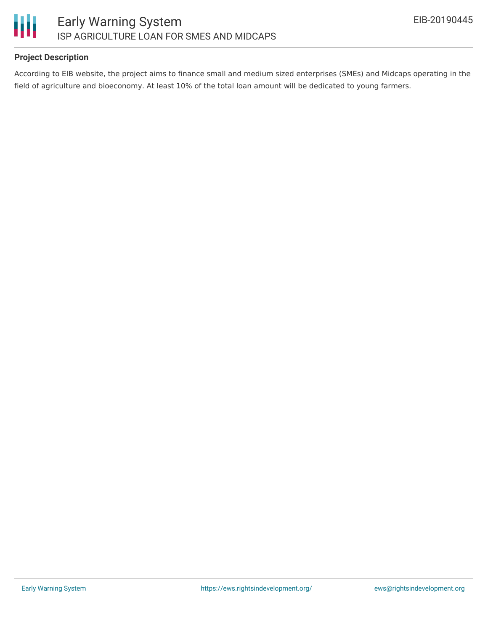

## **Project Description**

According to EIB website, the project aims to finance small and medium sized enterprises (SMEs) and Midcaps operating in the field of agriculture and bioeconomy. At least 10% of the total loan amount will be dedicated to young farmers.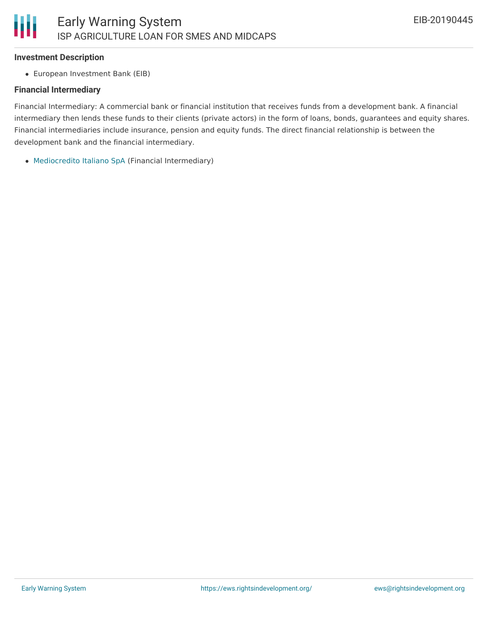#### **Investment Description**

European Investment Bank (EIB)

#### **Financial Intermediary**

Financial Intermediary: A commercial bank or financial institution that receives funds from a development bank. A financial intermediary then lends these funds to their clients (private actors) in the form of loans, bonds, guarantees and equity shares. Financial intermediaries include insurance, pension and equity funds. The direct financial relationship is between the development bank and the financial intermediary.

[Mediocredito](file:///actor/1863/) Italiano SpA (Financial Intermediary)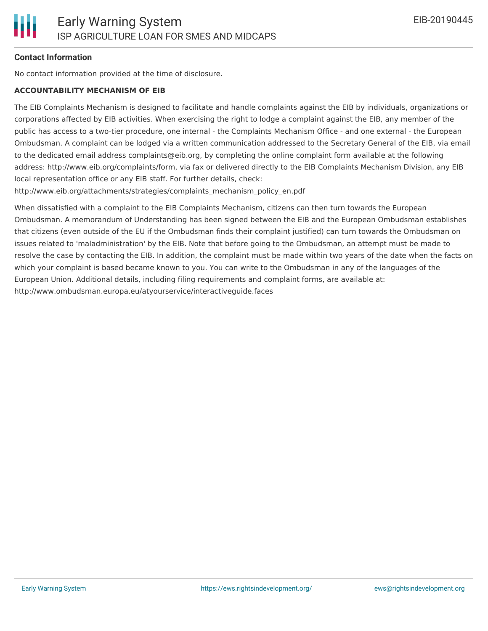# **Contact Information**

No contact information provided at the time of disclosure.

#### **ACCOUNTABILITY MECHANISM OF EIB**

The EIB Complaints Mechanism is designed to facilitate and handle complaints against the EIB by individuals, organizations or corporations affected by EIB activities. When exercising the right to lodge a complaint against the EIB, any member of the public has access to a two-tier procedure, one internal - the Complaints Mechanism Office - and one external - the European Ombudsman. A complaint can be lodged via a written communication addressed to the Secretary General of the EIB, via email to the dedicated email address complaints@eib.org, by completing the online complaint form available at the following address: http://www.eib.org/complaints/form, via fax or delivered directly to the EIB Complaints Mechanism Division, any EIB local representation office or any EIB staff. For further details, check:

http://www.eib.org/attachments/strategies/complaints\_mechanism\_policy\_en.pdf

When dissatisfied with a complaint to the EIB Complaints Mechanism, citizens can then turn towards the European Ombudsman. A memorandum of Understanding has been signed between the EIB and the European Ombudsman establishes that citizens (even outside of the EU if the Ombudsman finds their complaint justified) can turn towards the Ombudsman on issues related to 'maladministration' by the EIB. Note that before going to the Ombudsman, an attempt must be made to resolve the case by contacting the EIB. In addition, the complaint must be made within two years of the date when the facts on which your complaint is based became known to you. You can write to the Ombudsman in any of the languages of the European Union. Additional details, including filing requirements and complaint forms, are available at: http://www.ombudsman.europa.eu/atyourservice/interactiveguide.faces